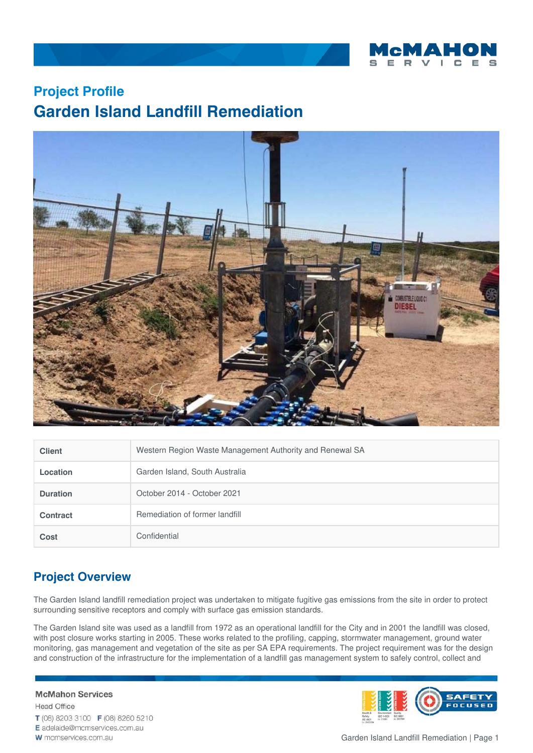

# **Project Profile Garden Island Landfill Remediation**



| <b>Client</b>   | Western Region Waste Management Authority and Renewal SA |
|-----------------|----------------------------------------------------------|
| Location        | Garden Island, South Australia                           |
| <b>Duration</b> | October 2014 - October 2021                              |
| <b>Contract</b> | Remediation of former landfill                           |
| Cost            | Confidential                                             |

# **Project Overview**

The Garden Island landfill remediation project was undertaken to mitigate fugitive gas emissions from the site in order to protect surrounding sensitive receptors and comply with surface gas emission standards.

The Garden Island site was used as a landfill from 1972 as an operational landfill for the City and in 2001 the landfill was closed, with post closure works starting in 2005. These works related to the profiling, capping, stormwater management, ground water monitoring, gas management and vegetation of the site as per SA EPA requirements. The project requirement was for the design and construction of the infrastructure for the implementation of a landfill gas management system to safely control, collect and

**McMahon Services Head Office** T (08) 8203 3100 F (08) 8260 5210 E adelaide@mcmservices.com.au W mcmservices.com.au

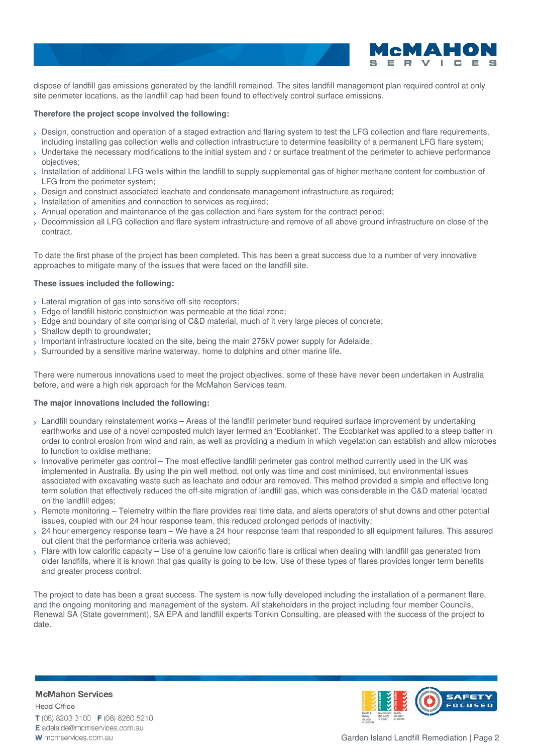

dispose of landfill gas emissions generated by the landfill remained. The sites landfill management plan required control at only site perimeter locations, as the landfill cap had been found to effectively control surface emissions.

### **Therefore the project scope involved the following:**

- Design, construction and operation of a staged extraction and flaring system to test the LFG collection and flare requirements, including installing gas collection wells and collection infrastructure to determine feasibility of a permanent LFG flare system;
- $_2$  Undertake the necessary modifications to the initial system and / or surface treatment of the perimeter to achieve performance objectives;
- $_>$  Installation of additional LFG wells within the landfill to supply supplemental gas of higher methane content for combustion of LFG from the perimeter system;
- Design and construct associated leachate and condensate management infrastructure as required;
- $\rightarrow$  Installation of amenities and connection to services as required;
- Annual operation and maintenance of the gas collection and flare system for the contract period;
- Decommission all LFG collection and flare system infrastructure and remove of all above ground infrastructure on close of the contract.

To date the first phase of the project has been completed. This has been a great success due to a number of very innovative approaches to mitigate many of the issues that were faced on the landfill site.

#### **These issues included the following:**

- > Lateral migration of gas into sensitive off-site receptors;
- > Edge of landfill historic construction was permeable at the tidal zone;
- > Edge and boundary of site comprising of C&D material, much of it very large pieces of concrete;
- > Shallow depth to groundwater;
- Important infrastructure located on the site, being the main 275kV power supply for Adelaide;
- $>$  Surrounded by a sensitive marine waterway, home to dolphins and other marine life.

There were numerous innovations used to meet the project objectives, some of these have never been undertaken in Australia before, and were a high risk approach for the McMahon Services team.

### **The major innovations included the following:**

- $_{\rm >}$  Landfill boundary reinstatement works Areas of the landfill perimeter bund required surface improvement by undertaking earthworks and use of a novel composted mulch layer termed an 'Ecoblanket'. The Ecoblanket was applied to a steep batter in order to control erosion from wind and rain, as well as providing a medium in which vegetation can establish and allow microbes to function to oxidise methane;
- $>$  Innovative perimeter gas control The most effective landfill perimeter gas control method currently used in the UK was implemented in Australia. By using the pin well method, not only was time and cost minimised, but environmental issues associated with excavating waste such as leachate and odour are removed. This method provided a simple and effective long term solution that effectively reduced the off-site migration of landfill gas, which was considerable in the C&D material located on the landfill edges;
- Remote monitoring Telemetry within the flare provides real time data, and alerts operators of shut downs and other potential issues, coupled with our 24 hour response team, this reduced prolonged periods of inactivity;  $\mathbf{\Sigma}$
- 24 hour emergency response team We have a 24 hour response team that responded to all equipment failures. This assured out client that the performance criteria was achieved;
- $_{\rm >}$  Flare with low calorific capacity Use of a genuine low calorific flare is critical when dealing with landfill gas generated from older landfills, where it is known that gas quality is going to be low. Use of these types of flares provides longer term benefits and greater process control.

The project to date has been a great success. The system is now fully developed including the installation of a permanent flare, and the ongoing monitoring and management of the system. All stakeholders in the project including four member Councils, Renewal SA (State government), SA EPA and landfill experts Tonkin Consulting, are pleased with the success of the project to date.

**McMahon Services Head Office** T (08) 8203 3100 F (08) 8260 5210 E adelaide@mcmservices.com.au W mcmservices.com.au